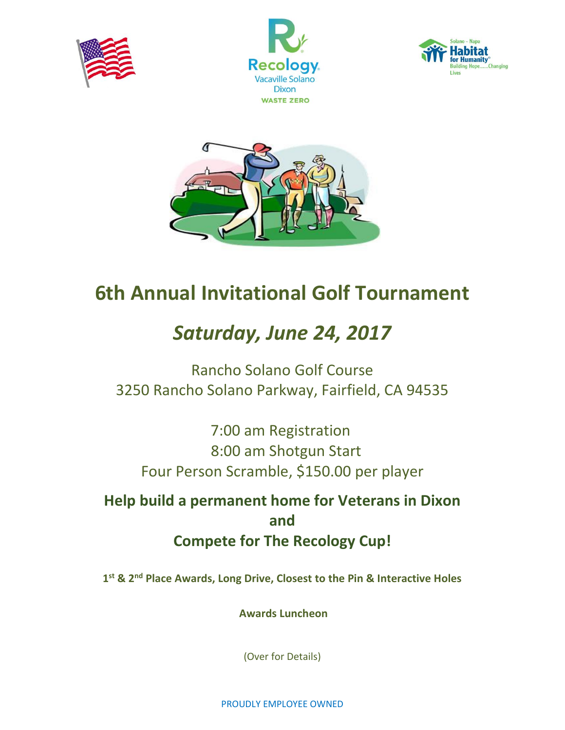







## **6th Annual Invitational Golf Tournament**

# *Saturday, June 24, 2017*

Rancho Solano Golf Course 3250 Rancho Solano Parkway, Fairfield, CA 94535

 7:00 am Registration 8:00 am Shotgun Start Four Person Scramble, \$150.00 per player

**Help build a permanent home for Veterans in Dixon and Compete for The Recology Cup!**

**1 st & 2nd Place Awards, Long Drive, Closest to the Pin & Interactive Holes**

**Awards Luncheon** 

(Over for Details)

PROUDLY EMPLOYEE OWNED